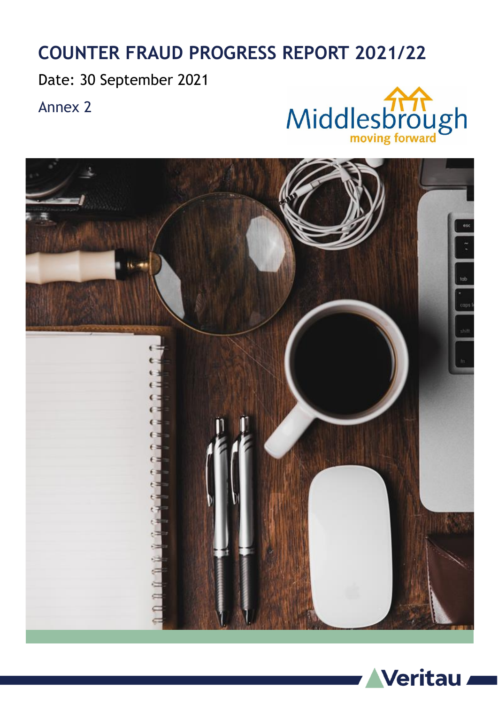## **COUNTER FRAUD PROGRESS REPORT 2021/22**

Date: 30 September 2021

Annex 2





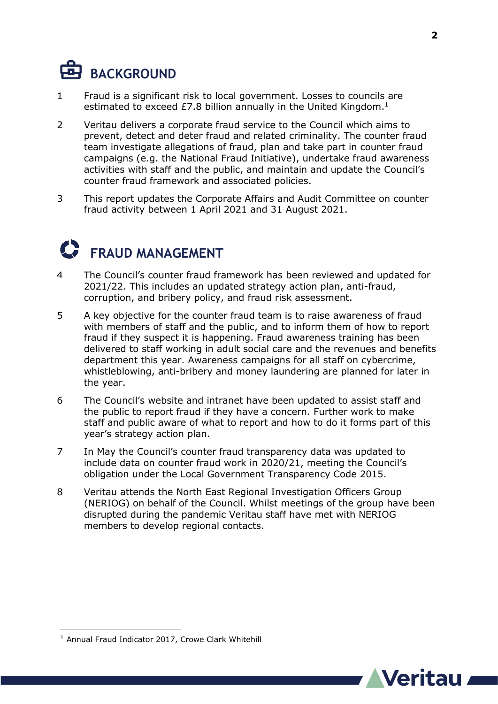## **BACKGROUND**

- 1 Fraud is a significant risk to local government. Losses to councils are estimated to exceed £7.8 billion annually in the United Kingdom. $<sup>1</sup>$ </sup>
- 2 Veritau delivers a corporate fraud service to the Council which aims to prevent, detect and deter fraud and related criminality. The counter fraud team investigate allegations of fraud, plan and take part in counter fraud campaigns (e.g. the National Fraud Initiative), undertake fraud awareness activities with staff and the public, and maintain and update the Council's counter fraud framework and associated policies.
- 3 This report updates the Corporate Affairs and Audit Committee on counter fraud activity between 1 April 2021 and 31 August 2021.

## **FRAUD MANAGEMENT**

- 4 The Council's counter fraud framework has been reviewed and updated for 2021/22. This includes an updated strategy action plan, anti-fraud, corruption, and bribery policy, and fraud risk assessment.
- 5 A key objective for the counter fraud team is to raise awareness of fraud with members of staff and the public, and to inform them of how to report fraud if they suspect it is happening. Fraud awareness training has been delivered to staff working in adult social care and the revenues and benefits department this year. Awareness campaigns for all staff on cybercrime, whistleblowing, anti-bribery and money laundering are planned for later in the year.
- 6 The Council's website and intranet have been updated to assist staff and the public to report fraud if they have a concern. Further work to make staff and public aware of what to report and how to do it forms part of this year's strategy action plan.
- 7 In May the Council's counter fraud transparency data was updated to include data on counter fraud work in 2020/21, meeting the Council's obligation under the Local Government Transparency Code 2015.
- 8 Veritau attends the North East Regional Investigation Officers Group (NERIOG) on behalf of the Council. Whilst meetings of the group have been disrupted during the pandemic Veritau staff have met with NERIOG members to develop regional contacts.

1



<sup>&</sup>lt;sup>1</sup> Annual Fraud Indicator 2017, Crowe Clark Whitehill